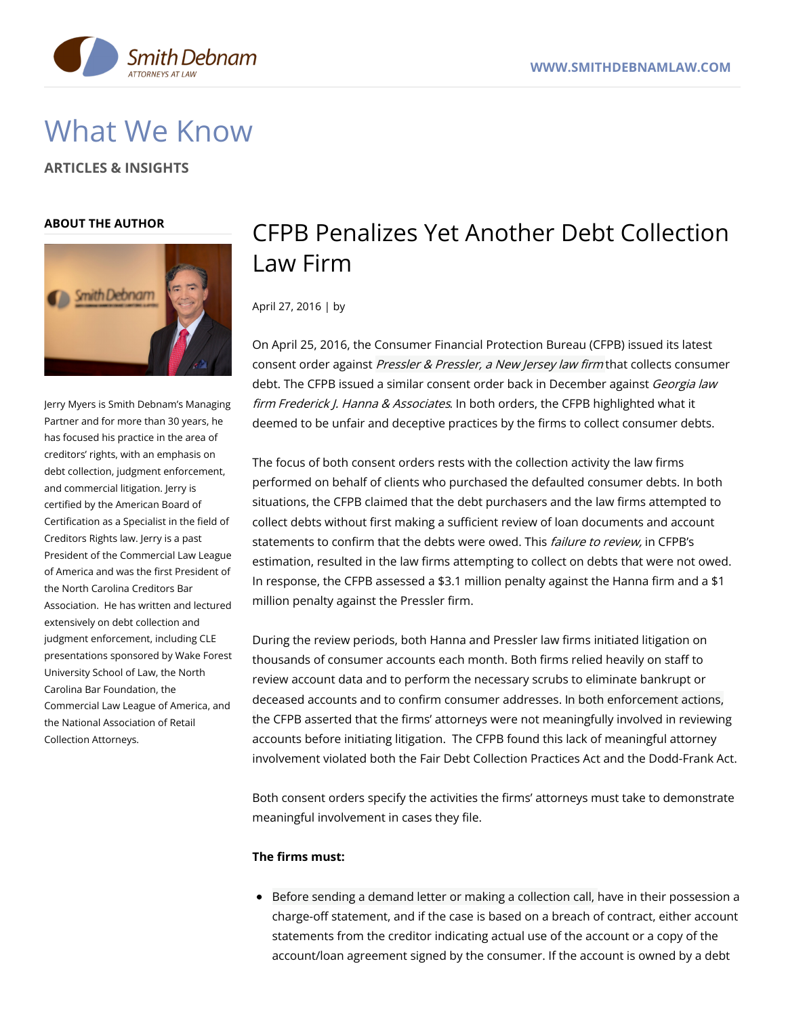

# What We Know

**ARTICLES & INSIGHTS**

## **ABOUT THE AUTHOR**



Jerry Myers is Smith Debnam's Managing Partner and for more than 30 years, he has focused his practice in the area of creditors' rights, with an emphasis on debt collection, judgment enforcement, and commercial litigation. Jerry is certified by the American Board of Certification as a Specialist in the field of Creditors Rights law. Jerry is a past President of the Commercial Law League of America and was the first President of the North Carolina Creditors Bar Association. He has written and lectured extensively on debt collection and judgment enforcement, including CLE presentations sponsored by Wake Forest University School of Law, the North Carolina Bar Foundation, the Commercial Law League of America, and the National Association of Retail Collection Attorneys.

# CFPB Penalizes Yet Another Debt Collection Law Firm

April 27, 2016 | by

On April 25, 2016, the Consumer Financial Protection Bureau (CFPB) issued its latest consent order against Pressler & Pressler, a New Jersey law firm that collects consumer debt. The CFPB issued a similar consent order back in December against Georgia law firm Frederick J. Hanna & Associates. In both orders, the CFPB highlighted what it deemed to be unfair and deceptive practices by the firms to collect consumer debts.

The focus of both consent orders rests with the collection activity the law firms performed on behalf of clients who purchased the defaulted consumer debts. In both situations, the CFPB claimed that the debt purchasers and the law firms attempted to collect debts without first making a sufficient review of loan documents and account statements to confirm that the debts were owed. This *failure to review*, in CFPB's estimation, resulted in the law firms attempting to collect on debts that were not owed. In response, the CFPB assessed a \$3.1 million penalty against the Hanna firm and a \$1 million penalty against the Pressler firm.

During the review periods, both Hanna and Pressler law firms initiated litigation on thousands of consumer accounts each month. Both firms relied heavily on staff to review account data and to perform the necessary scrubs to eliminate bankrupt or deceased accounts and to confirm consumer addresses. In both enforcement actions, the CFPB asserted that the firms' attorneys were not meaningfully involved in reviewing accounts before initiating litigation. The CFPB found this lack of meaningful attorney involvement violated both the Fair Debt Collection Practices Act and the Dodd-Frank Act.

Both consent orders specify the activities the firms' attorneys must take to demonstrate meaningful involvement in cases they file.

# **The firms must:**

Before sending a demand letter or making a collection call, have in their possession a charge-off statement, and if the case is based on a breach of contract, either account statements from the creditor indicating actual use of the account or a copy of the account/loan agreement signed by the consumer. If the account is owned by a debt